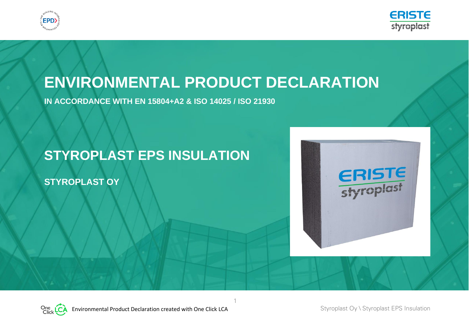



# **ENVIRONMENTAL PRODUCT DECLARATION**

1

**IN ACCORDANCE WITH EN 15804+A2 & ISO 14025 / ISO 21930**

## **STYROPLAST EPS INSULATION**

**STYROPLAST OY**



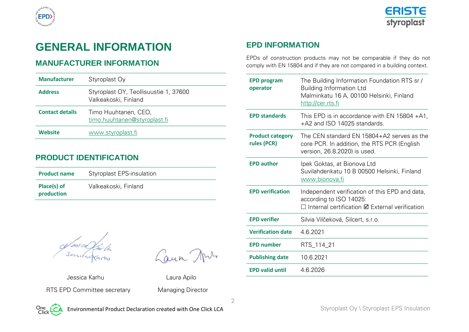



## **GENERAL INFORMATION**

## **MANUFACTURER INFORMATION**

| <b>Manufacturer</b>    | Styroplast Oy                                                 |
|------------------------|---------------------------------------------------------------|
| <b>Address</b>         | Styroplast OY, Teollisuustie 1, 37600<br>Valkeakoski, Finland |
| <b>Contact details</b> | Timo Huuhtanen, CEO,<br>timo.huuhtanen@styroplast.fi          |
| Website                | www.styroplast.fi                                             |

## **PRODUCT IDENTIFICATION**

| <b>Product name</b>       | <b>Styroplast EPS-insulation</b> |
|---------------------------|----------------------------------|
| Place(s) of<br>production | Valkeakoski, Finland             |

Laun Ans

 Jessica Karhu Laura Apilo RTS EPD Committee secretary Managing Director

2

## **EPD INFORMATION**

EPDs of construction products may not be comparable if they do not comply with EN 15804 and if they are not compared in a building context.

| <b>EPD program</b><br>operator         | The Building Information Foundation RTS sr /<br><b>Building Information Ltd</b><br>Malminkatu 16 A, 00100 Helsinki, Finland<br><u>http://cer.rts.fi</u> |
|----------------------------------------|---------------------------------------------------------------------------------------------------------------------------------------------------------|
| <b>EPD standards</b>                   | This EPD is in accordance with EN 15804 $+A1$ ,<br>+A2 and ISO 14025 standards.                                                                         |
| <b>Product category</b><br>rules (PCR) | The CEN standard EN 15804+A2 serves as the<br>core PCR. In addition, the RTS PCR (English<br>version, 26.8.2020) is used.                               |
| <b>EPD author</b>                      | Ipek Goktas, at Bionova Ltd<br>Suvilahdenkatu 10 B 00500 Helsinki, Finland<br>www.bionova.fi                                                            |
| <b>EPD verification</b>                | Independent verification of this EPD and data,<br>according to ISO 14025:<br>$\Box$ Internal certification $\boxtimes$ External verification            |
| <b>EPD verifier</b>                    | Silvia Vilčeková, Silcert, s.r.o.                                                                                                                       |
| <b>Verification date</b>               | 4.6.2021                                                                                                                                                |
| <b>EPD number</b>                      | RTS_114_21                                                                                                                                              |
| <b>Publishing date</b>                 | 10.6.2021                                                                                                                                               |
| <b>EPD valid until</b>                 | 4.6.2026                                                                                                                                                |

One LCA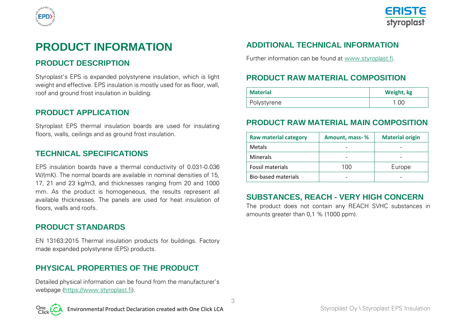



## **PRODUCT INFORMATION**

## **PRODUCT DESCRIPTION**

Styroplast's EPS is expanded polystyrene insulation, which is light weight and effective. EPS insulation is mostly used for as floor, wall, roof and ground frost insulation in building.

## **PRODUCT APPLICATION**

Styroplast EPS thermal insulation boards are used for insulating floors, walls, ceilings and as ground frost insulation.

### **TECHNICAL SPECIFICATIONS**

EPS insulation boards have a thermal conductivity of 0.031-0.036 W/(mK). The normal boards are available in nominal densities of 15. 17, 21 and 23 kg/m3, and thicknesses ranging from 20 and 1000 mm. As the product is homogeneous, the results represent all available thicknesses. The panels are used for heat insulation of floors, walls and roofs.

### **PRODUCT STANDARDS**

EN 13163:2015 Thermal insulation products for buildings. Factory made expanded polystyrene (EPS) products.

## **PHYSICAL PROPERTIES OF THE PRODUCT**

Detailed physical information can be found from the manufacturer's webpage (https://www.styroplast.fi).

3

## **ADDITIONAL TECHNICAL INFORMATION**

Further information can be found at [www.styroplast.fi.](http://www.styroplast.fi/)

## **PRODUCT RAW MATERIAL COMPOSITION**

| <b>Material</b> | Weight, kg |
|-----------------|------------|
| Polystyrene     | 1.00       |

## **PRODUCT RAW MATERIAL MAIN COMPOSITION**

| <b>Raw material category</b> | Amount, mass-% | <b>Material origin</b> |  |  |  |  |
|------------------------------|----------------|------------------------|--|--|--|--|
| Metals                       |                |                        |  |  |  |  |
| <b>Minerals</b>              |                |                        |  |  |  |  |
| Fossil materials             | 100            | Europe                 |  |  |  |  |
| <b>Bio-based materials</b>   |                |                        |  |  |  |  |

## **SUBSTANCES, REACH - VERY HIGH CONCERN**

The product does not contain any REACH SVHC substances in amounts greater than 0,1 % (1000 ppm).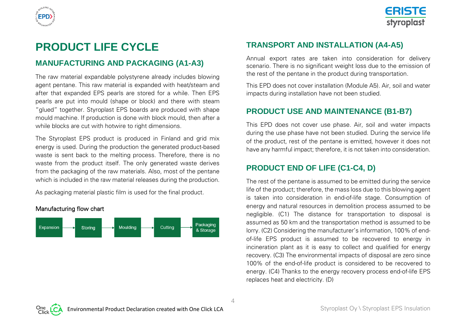



## **PRODUCT LIFE CYCLE**

### **MANUFACTURING AND PACKAGING (A1-A3)**

The raw material expandable polystyrene already includes blowing agent pentane. This raw material is expanded with heat/steam and after that expanded EPS pearls are stored for a while. Then EPS pearls are put into mould (shape or block) and there with steam "glued" together. Styroplast EPS boards are produced with shape mould machine. If production is done with block mould, then after a while blocks are cut with hotwire to right dimensions.

The Styroplast EPS product is produced in Finland and grid mix energy is used. During the production the generated product-based waste is sent back to the melting process. Therefore, there is no waste from the product itself. The only generated waste derives from the packaging of the raw materials. Also, most of the pentane which is included in the raw material releases during the production.

As packaging material plastic film is used for the final product.



## **TRANSPORT AND INSTALLATION (A4-A5)**

Annual export rates are taken into consideration for delivery scenario. There is no significant weight loss due to the emission of the rest of the pentane in the product during transportation.

This EPD does not cover installation (Module A5). Air, soil and water impacts during installation have not been studied.

## **PRODUCT USE AND MAINTENANCE (B1-B7)**

This EPD does not cover use phase. Air, soil and water impacts during the use phase have not been studied. During the service life of the product, rest of the pentane is emitted, however it does not have any harmful impact; therefore, it is not taken into consideration.

## **PRODUCT END OF LIFE (C1-C4, D)**

The rest of the pentane is assumed to be emitted during the service life of the product; therefore, the mass loss due to this blowing agent is taken into consideration in end-of-life stage. Consumption of energy and natural resources in demolition process assumed to be negligible. (C1) The distance for transportation to disposal is assumed as 50 km and the transportation method is assumed to be lorry. (C2) Considering the manufacturer's information, 100% of endof-life EPS product is assumed to be recovered to energy in incineration plant as it is easy to collect and qualified for energy recovery. (C3) The environmental impacts of disposal are zero since 100% of the end-of-life product is considered to be recovered to energy. (C4) Thanks to the energy recovery process end-of-life EPS replaces heat and electricity. (D)



 $\Delta$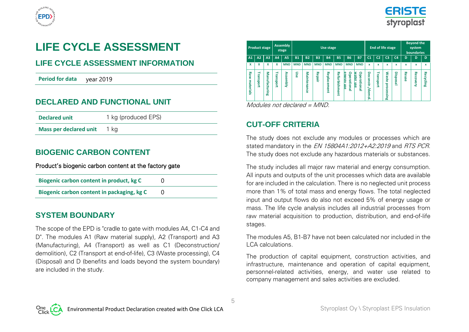



## **LIFE CYCLE ASSESSMENT**

## **LIFE CYCLE ASSESSMENT INFORMATION**

**Period for data** year 2019

## **DECLARED AND FUNCTIONAL UNIT**

| <b>Declared unit</b>          | 1 kg (produced EPS) |
|-------------------------------|---------------------|
| <b>Mass per declared unit</b> | 1 kg                |

## **BIOGENIC CARBON CONTENT**

#### Product's biogenic carbon content at the factory gate

| Biogenic carbon content in product, kg C   |  |
|--------------------------------------------|--|
| Biogenic carbon content in packaging, kg C |  |

### **SYSTEM BOUNDARY**

The scope of the EPD is "cradle to gate with modules A4, C1-C4 and D". The modules A1 (Raw material supply), A2 (Transport) and A3 (Manufacturing), A4 (Transport) as well as C1 (Deconstruction/ demolition), C2 (Transport at end-of-life), C3 (Waste processing), C4 (Disposal) and D (benefits and loads beyond the system boundary) are included in the study.

| <b>Product stage</b> |                                |                   |           | <b>Assembly</b><br>stage |            |                    |            | <b>Use stage</b>   |                       |                                                |                                       |                          | End of life stage    |                                                                            |                | <b>Beyond the</b><br>system<br><b>boundaries</b> |                 |              |
|----------------------|--------------------------------|-------------------|-----------|--------------------------|------------|--------------------|------------|--------------------|-----------------------|------------------------------------------------|---------------------------------------|--------------------------|----------------------|----------------------------------------------------------------------------|----------------|--------------------------------------------------|-----------------|--------------|
| A1                   | A2                             | A <sub>3</sub>    | A4        | <b>A5</b>                | <b>B1</b>  | <b>B2</b>          | <b>B3</b>  | <b>B4</b>          | <b>B5</b>             | <b>B6</b>                                      | <b>B7</b>                             | C <sub>1</sub>           | C <sub>2</sub>       | C <sub>3</sub>                                                             | C <sub>4</sub> | $\mathbf{D}$                                     | D               | $\mathbf{D}$ |
| x                    | x                              | x                 | x         | <b>MND</b>               | <b>MND</b> | <b>MND</b>         | <b>MND</b> | <b>MND</b>         | <b>MND</b>            | <b>MND</b>                                     | <b>MND</b>                            | x                        | x                    | x                                                                          | x              | x                                                | x               | x            |
| Raw<br>materials     | ₹<br>نه<br>5<br>m<br>i<br>Sort | Na<br>nufacturing | Transport | <b>Assembly</b>          | Use        | <b>Maintenance</b> | Repair     | Repla<br>ඝ<br>ment | Refurbish<br>3<br>gur | o<br>m<br>B<br>ō<br>ē<br>유<br>듨<br>g<br>m<br>흳 | ۰<br>water<br>perationa<br><u>ise</u> | o<br>econstr./d<br>lemol | ₹<br>g<br>ū<br>iport | ٤<br>SS <sub>1</sub><br>è<br>൹<br>ठ<br>ā<br>ō<br>ၛၟ<br><b>in</b><br>-<br>൹ | Disposal       | Reuse                                            | <b>Recovery</b> | Recycling    |

Modules not declared = MND.

## **CUT-OFF CRITERIA**

5

The study does not exclude any modules or processes which are stated mandatory in the *EN 15804A1:2012+A2:2019* and *RTS PCR*. The study does not exclude any hazardous materials or substances.

The study includes all major raw material and energy consumption. All inputs and outputs of the unit processes which data are available for are included in the calculation. There is no neglected unit process more than 1% of total mass and energy flows. The total neglected input and output flows do also not exceed 5% of energy usage or mass. The life cycle analysis includes all industrial processes from raw material acquisition to production, distribution, and end-of-life stages.

The modules A5, B1-B7 have not been calculated nor included in the LCA calculations.

The production of capital equipment, construction activities, and infrastructure, maintenance and operation of capital equipment, personnel-related activities, energy, and water use related to company management and sales activities are excluded.

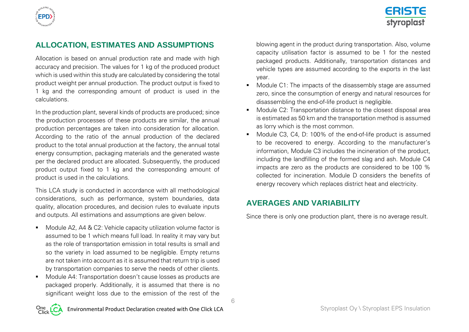

## **ERISTE** styroplast

## **ALLOCATION, ESTIMATES AND ASSUMPTIONS**

Allocation is based on annual production rate and made with high accuracy and precision. The values for 1 kg of the produced product which is used within this study are calculated by considering the total product weight per annual production. The product output is fixed to 1 kg and the corresponding amount of product is used in the calculations.

In the production plant, several kinds of products are produced; since the production processes of these products are similar, the annual production percentages are taken into consideration for allocation. According to the ratio of the annual production of the declared product to the total annual production at the factory, the annual total energy consumption, packaging materials and the generated waste per the declared product are allocated. Subsequently, the produced product output fixed to 1 kg and the corresponding amount of product is used in the calculations.

This LCA study is conducted in accordance with all methodological considerations, such as performance, system boundaries, data quality, allocation procedures, and decision rules to evaluate inputs and outputs. All estimations and assumptions are given below.

- Module A2, A4 & C2: Vehicle capacity utilization volume factor is assumed to be 1 which means full load. In reality it may vary but as the role of transportation emission in total results is small and so the variety in load assumed to be negligible. Empty returns are not taken into account as it is assumed that return trip is used by transportation companies to serve the needs of other clients.
- Module A4: Transportation doesn't cause losses as products are packaged properly. Additionally, it is assumed that there is no significant weight loss due to the emission of the rest of the

blowing agent in the product during transportation. Also, volume capacity utilisation factor is assumed to be 1 for the nested packaged products. Additionally, transportation distances and vehicle types are assumed according to the exports in the last year.

- Module C1: The impacts of the disassembly stage are assumed zero, since the consumption of energy and natural resources for disassembling the end-of-life product is negligible.
- Module C2: Transportation distance to the closest disposal area is estimated as 50 km and the transportation method is assumed as lorry which is the most common.
- Module C3, C4, D: 100% of the end-of-life product is assumed to be recovered to energy. According to the manufacturer's information, Module C3 includes the incineration of the product, including the landfilling of the formed slag and ash. Module C4 impacts are zero as the products are considered to be 100 % collected for incineration. Module D considers the benefits of energy recovery which replaces district heat and electricity.

## **AVERAGES AND VARIABILITY**

6

Since there is only one production plant, there is no average result.

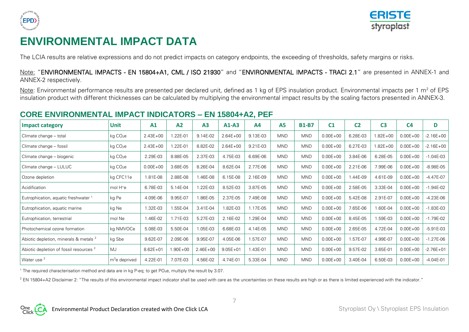



## **ENVIRONMENTAL IMPACT DATA**

The LCIA results are relative expressions and do not predict impacts on category endpoints, the exceeding of thresholds, safety margins or risks.

Note: "ENVIRONMENTAL IMPACTS - EN 15804+A1, CML / ISO 21930" and "ENVIRONMENTAL IMPACTS - TRACI 2.1" are presented in ANNEX-1 and ANNEX-2 respectively.

Note: Environmental performance results are presented per declared unit, defined as 1 kg of EPS insulation product. Environmental impacts per 1 m<sup>2</sup> of EPS insulation product with different thicknesses can be calculated by multiplying the environmental impact results by the scaling factors presented in ANNEX-3.

## **CORE ENVIRONMENTAL IMPACT INDICATORS – EN 15804+A2, PEF**

| <b>Impact category</b>                             | <b>Unit</b>          | A1           | A2          | A3           | $A1-A3$      | A4       | A <sub>5</sub> | <b>B1-B7</b> | C <sub>1</sub> | C <sub>2</sub> | C <sub>3</sub> | C <sub>4</sub> | D             |
|----------------------------------------------------|----------------------|--------------|-------------|--------------|--------------|----------|----------------|--------------|----------------|----------------|----------------|----------------|---------------|
| Climate change - total                             | kg CO <sub>2</sub> e | $2.43E + 00$ | .22E-01     | 9.14E-02     | $2.64E + 00$ | 9.13E-03 | <b>MND</b>     | <b>MND</b>   | $0.00E + 00$   | 6.28E-03       | $1.82E + 00$   | $0.00E + 00$   | $-2.16E + 00$ |
| Climate change - fossil                            | kg CO <sub>2</sub> e | $2.43E + 00$ | 1.22E-01    | 8.82E-02     | $2.64E + 00$ | 9.21E-03 | <b>MND</b>     | <b>MND</b>   | $0.00E + 00$   | 6.27E-03       | $1.82E + 00$   | $0.00E + 00$   | $-2.16E + 00$ |
| Climate change - biogenic                          | kg CO <sub>2</sub> e | 2.29E-03     | 8.88E-05    | 2.37E-03     | 4.75E-03     | 6.69E-06 | <b>MND</b>     | <b>MND</b>   | $0.00E + 00$   | 3.84E-06       | 6.28E-05       | $0.00E + 00$   | $-1.04E-03$   |
| Climate change - LULUC                             | kg CO <sub>2</sub> e | $0.00E + 00$ | 3.68E-05    | 8.26E-04     | 8.62E-04     | 2.77E-06 | <b>MND</b>     | <b>MND</b>   | $0.00E + 00$   | 2.21E-06       | 7.99E-06       | $0.00E + 00$   | $-8.98E-05$   |
| Ozone depletion                                    | kg CFC11e            | 1.81E-08     | 2.88E-08    | 1.46E-08     | 6.15E-08     | 2.16E-09 | <b>MND</b>     | <b>MND</b>   | $0.00E + 00$   | 1.44E-09       | 4.61E-09       | $0.00E + 00$   | $-4.47E-07$   |
| Acidification                                      | mol H <sup>+</sup> e | 6.78E-03     | 5.14E-04    | 1.22E-03     | 8.52E-03     | 3.87E-05 | <b>MND</b>     | <b>MND</b>   | $0.00E + 00$   | 2.58E-05       | 3.33E-04       | $0.00E + 00$   | $-1.94E-02$   |
| Eutrophication, aquatic freshwater <sup>1</sup>    | kg Pe                | 4.09E-06     | 9.95E-07    | 1.86E-05     | 2.37E-05     | 7.49E-08 | <b>MND</b>     | <b>MND</b>   | $0.00E + 00$   | 5.42E-08       | 2.91E-07       | $0.00E + 00$   | $-4.23E-06$   |
| Eutrophication, aquatic marine                     | kg Ne                | 1.32E-03     | 1.55E-04    | 3.41E-04     | 1.82E-03     | 1.17E-05 | <b>MND</b>     | <b>MND</b>   | $0.00E + 00$   | 7.65E-06       | 1.60E-04       | $0.00E + 00$   | $-1.83E-03$   |
| Eutrophication, terrestrial                        | mol Ne               | 1.46E-02     | 1.71E-03    | 5.27E-03     | 2.16E-02     | .29E-04  | <b>MND</b>     | <b>MND</b>   | $0.00E + 00$   | 8.45E-05       | 1.59E-03       | $0.00E + 00$   | $-1.79E-02$   |
| Photochemical ozone formation                      | kg NMVOCe            | 5.08E-03     | 5.50E-04    | 1.05E-03     | 6.68E-03     | 4.14E-05 | <b>MND</b>     | <b>MND</b>   | $0.00E + 00$   | 2.65E-05       | 4.72E-04       | $0.00E + 00$   | $-5.91E-03$   |
| Abiotic depletion, minerals & metals <sup>2</sup>  | kg Sbe               | 9.62E-07     | 2.09E-06    | 9.95E-07     | 4.05E-06     | 1.57E-07 | <b>MND</b>     | <b>MND</b>   | $0.00E + 00$   | 1.57E-07       | 4.99E-07       | $0.00E + 00$   | $-1.27E-06$   |
| Abiotic depletion of fossil resources <sup>2</sup> | MJ                   | $8.62E + 01$ | $.90E + 00$ | $2.46E + 00$ | $9.05E + 01$ | 1.43E-01 | <b>MND</b>     | <b>MND</b>   | $0.00E + 00$   | 9.57E-02       | 3.65E-01       | $0.00E + 00$   | $-2.76E + 01$ |
| Water use <sup>2</sup>                             | $m3e$ deprived       | 4.22E-01     | 7.07E-03    | 4.56E-02     | 4.74E-01     | 5.33E-04 | <b>MND</b>     | <b>MND</b>   | $0.00E + 00$   | 3.40E-04       | 6.50E-03       | $0.00E + 00$   | $-4.04E-01$   |

<sup>1</sup> The required characterisation method and data are in kg P-eq; to get PO<sub>4</sub>e, multiply the result by 3.07.

<sup>2</sup> EN 15804+A2 Disclaimer 2: "The results of this environmental impact indicator shall be used with care as the uncertainties on these results are high or as there is limited experienced with the indicator."



7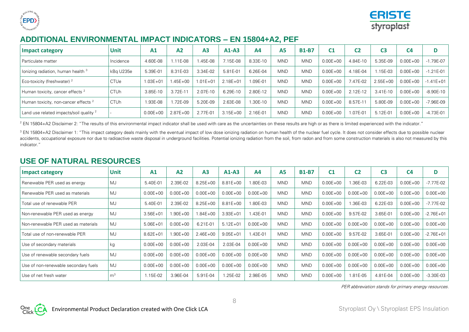



## **ADDITIONAL ENVIRONMENTAL IMPACT INDICATORS – EN 15804+A2, PEF**

| <b>Impact category</b>                             | Unit        | A <sub>1</sub> | A2           | A3           | $A1-A3$      | A <sub>4</sub> | A5         | <b>B1-B7</b> | C <sub>1</sub> | C2       | C <sub>3</sub> | C <sub>4</sub> | D             |
|----------------------------------------------------|-------------|----------------|--------------|--------------|--------------|----------------|------------|--------------|----------------|----------|----------------|----------------|---------------|
| I Particulate matter                               | Incidence   | 4.60E-08       | $.11E-08$    | .45E-08      | 7.15E-08     | 8.33E-10       | <b>MND</b> | <b>MND</b>   | $0.00E + 00$   | 4.84E-10 | 5.35E-09       | $0.00E + 00$   | $-1.79E - 07$ |
| lonizing radiation, human health <sup>3</sup>      | kBa U235e   | 5.39E-01       | 8.31E-03     | 3.34E-02     | 5.81E-01     | 6.26E-04       | <b>MND</b> | <b>MND</b>   | $0.00E + 00$   | 4.18E-04 | .15E-03        | $0.00E + 00$   | $-1.21E - 01$ |
| Eco-toxicity (freshwater) <sup>2</sup>             | <b>CTUe</b> | $1.03E + 01$   | $.45E + 00$  | $1.01E + 01$ | $2.18E + 01$ | $.09E - 01$    | <b>MND</b> | <b>MND</b>   | $0.00E + 00$   | 7.47E-02 | $2.55E + 00$   | $0.00E + 00$   | $-1.41E + 01$ |
| Human toxicity, cancer effects <sup>2</sup>        | <b>CTUh</b> | 3.85E-10       | $3.72E-1$    | 2.07E-10     | 6.29E-10     | 2.80E-12       | <b>MND</b> | <b>MND</b>   | $0.00E + 00$   | 2.12E-12 | 3.41E-10       | $0.00E + 00$   | $-8.90E-10$   |
| Human toxicity, non-cancer effects <sup>2</sup>    | <b>CTUh</b> | 1.93E-08       | 1.72E-09     | 5.20E-09     | 2.63E-08     | $.30E-10$      | <b>MND</b> | <b>MND</b>   | $0.00E + 00$   | 8.57E-1  | 5.80E-09       | $0.00E + 00$   | -7.96E-09     |
| Land use related impacts/soil quality <sup>2</sup> |             | $0.00E + 00$   | $2.87E + 00$ | 2.77E-01     | $3.15E + 00$ | 2.16E-01       | <b>MND</b> | <b>MND</b>   | $0.00E + 00$   | 1.07E-01 | 5.12E-01       | $0.00E + 00$   | $-4.73E-01$   |

<sup>2</sup> EN 15804+A2 Disclaimer 2: "The results of this environmental impact indicator shall be used with care as the uncertainties on these results are high or as there is limited experienced with the indicator."

<sup>3</sup> EN 15804+A2 Disclaimer 1: "This impact category deals mainly with the eventual impact of low dose ionizing radiation on human health of the nuclear fuel cycle. It does not consider effects due to possible nuclear accidents, occupational exposure nor due to radioactive waste disposal in underground facilities. Potential ionizing radiation from the soil, from radon and from some construction materials is also not measured by this indicator."

## **USE OF NATURAL RESOURCES**

| <b>Impact category</b>               | <b>Unit</b>    | A1           | A <sub>2</sub> | A <sub>3</sub> | $A1-A3$      | A4           | <b>A5</b>  | <b>B1-B7</b> | C <sub>1</sub> | C <sub>2</sub> | C <sub>3</sub> | C <sub>4</sub> | D             |
|--------------------------------------|----------------|--------------|----------------|----------------|--------------|--------------|------------|--------------|----------------|----------------|----------------|----------------|---------------|
| Renewable PER used as energy         | MJ             | 5.40E-01     | 2.39E-02       | $8.25E + 00$   | $8.81E + 00$ | 1.80E-03     | <b>MND</b> | <b>MND</b>   | $0.00E + 00$   | .36E-03        | 6.22E-03       | $0.00E + 00$   | $-7.77E-02$   |
| Renewable PER used as materials      | MJ             | $0.00E + 00$ | $0.00E + 00$   | $0.00E + 00$   | $0.00E + 00$ | $0.00E + 00$ | <b>MND</b> | <b>MND</b>   | $0.00E + 00$   | $0.00E + 00$   | $0.00E + 00$   | $0.00E + 00$   | $0.00E + 00$  |
| Total use of renewable PER           | <b>MJ</b>      | 5.40E-01     | 2.39E-02       | $8.25E + 00$   | $8.81E + 00$ | 1.80E-03     | <b>MND</b> | <b>MND</b>   | $0.00E + 00$   | .36E-03        | 6.22E-03       | $0.00E + 00$   | $-7.77E - 02$ |
| Non-renewable PER used as energy     | MJ             | $3.56E + 01$ | 1.90E+00       | 1.84E+00       | $3.93E + 01$ | 1.43E-01     | <b>MND</b> | <b>MND</b>   | $0.00E + 00$   | 9.57E-02       | 3.65E-01       | $0.00E + 00$   | $-2.76E + 01$ |
| Non-renewable PER used as materials  | MJ             | $5.06E + 01$ | $0.00E + 00$   | 6.21E-01       | $5.12E + 01$ | $0.00E + 00$ | <b>MND</b> | <b>MND</b>   | $0.00E + 00$   | $0.00E + 00$   | $0.00E + 00$   | $0.00E + 00$   | $0.00E + 00$  |
| Total use of non-renewable PER       | MJ             | $8.62E + 01$ | $.90E + 00$    | $2.46E + 00$   | $9.05E + 01$ | 1.43E-01     | <b>MND</b> | <b>MND</b>   | $0.00E + 00$   | 9.57E-02       | 3.65E-01       | $0.00E + 00$   | $-2.76E + 01$ |
| Use of secondary materials           | kg             | $0.00E + 00$ | $0.00E + 00$   | 2.03E-04       | 2.03E-04     | $0.00E + 00$ | <b>MND</b> | <b>MND</b>   | $0.00E + 00$   | $0.00E + 00$   | $0.00E + 00$   | $0.00E + 00$   | $0.00E + 00$  |
| Use of renewable secondary fuels     | MJ             | $0.00E + 00$ | $0.00E + 00$   | $0.00E + 00$   | $0.00E + 00$ | $0.00E + 00$ | <b>MND</b> | <b>MND</b>   | $0.00E + 00$   | $0.00E + 00$   | $0.00E + 00$   | $0.00E + 00$   | $0.00E + 00$  |
| Use of non-renewable secondary fuels | MJ             | $0.00E + 00$ | $0.00E + 00$   | $0.00E + 00$   | $0.00E + 00$ | $0.00E + 00$ | <b>MND</b> | <b>MND</b>   | $0.00E + 00$   | $0.00E + 00$   | $0.00E + 00$   | $0.00E + 00$   | $0.00E + 00$  |
| Use of net fresh water               | m <sup>3</sup> | 1.15E-02     | 3.96E-04       | 5.91E-04       | .25E-02      | 2.98E-05     | <b>MND</b> | <b>MND</b>   | $0.00E + 00$   | .81E-05        | 4.81E-04       | $0.00E + 00$   | $-3.30E-03$   |

PER abbreviation stands for primary energy resources.

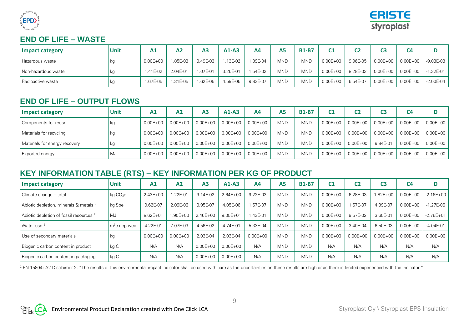



## **END OF LIFE – WASTE**

| <b>Impact category</b> | Unit | Α1           | Α2         | A <sub>3</sub> | $A1-A3$  | A4       | A <sub>5</sub> | <b>B1-B7</b> | C1           |          | C3           | C4           |               |
|------------------------|------|--------------|------------|----------------|----------|----------|----------------|--------------|--------------|----------|--------------|--------------|---------------|
| Hazardous waste        | κg   | $0.00E + 00$ | .85E-03    | 9.49E-03       | .13E-02  | .39E-04  | <b>MND</b>     | <b>MND</b>   | $0.00E + 00$ | 9.96E-05 | $0.00E + 00$ | $0.00E + 00$ | $-9.03E-03$   |
| Non-hazardous waste    | kg   | 1.41E-02     | 2.04E-01   | 1.07E-01       | 3.26E-01 | 1.54E-02 | <b>MND</b>     | <b>MND</b>   | $0.00E + 00$ | 8.28E-03 | $0.00E + 00$ | $0.00E + 00$ | $-1.32E - 01$ |
| Radioactive waste      | κg   | 1.67E-05     | $1.31E-05$ | 1.62E-05       | 4.59E-05 | 9.83E-07 | <b>MND</b>     | <b>MND</b>   | $0.00E + 00$ | 6.54E-07 | $0.00E + 00$ | $0.00E + 00$ | $-2.00E-04$   |

## **END OF LIFE – OUTPUT FLOWS**

| <b>Impact category</b>        | <b>Unit</b> | A1           | A2           | A <sub>3</sub> | $A1-A3$      | A <sub>4</sub> | <b>A5</b>  | <b>B1-B7</b> | C <sub>1</sub> |              | C3           | C4           |              |
|-------------------------------|-------------|--------------|--------------|----------------|--------------|----------------|------------|--------------|----------------|--------------|--------------|--------------|--------------|
| Components for reuse          | kg          | $0.00E + 00$ | $0.00E + 00$ | $0.00E + 00$   | $0.00E + 00$ | $0.00E + 00$   | <b>MND</b> | <b>MND</b>   | $0.00E + 00$   | $0.00E + 00$ | $0.00E + 00$ | $0.00E + 00$ | $0.00E + 00$ |
| Materials for recycling       | kg          | $0.00E + 00$ | $0.00E + 00$ | $0.00E + 00$   | $0.00E + 00$ | $0.00E + 00$   | <b>MND</b> | <b>MND</b>   | $0.00E + 00$   | $0.00E + 00$ | $0.00E + 00$ | $0.00E + 00$ | $0.00E + 00$ |
| Materials for energy recovery | kg          | $0.00E + 00$ | $0.00E + 00$ | $0.00E + 00$   | $0.00E + 00$ | $0.00E + 00$   | <b>MND</b> | <b>MND</b>   | $0.00E + 00$   | $0.00E + 00$ | 9.84E-01     | $0.00E + 00$ | $0.00E + 00$ |
| <b>Exported energy</b>        | MJ          | $0.00E + 00$ | $0.00E + 00$ | $0.00E + 00$   | $0.00E + 00$ | $0.00E + 00$   | <b>MND</b> | <b>MND</b>   | $0.00E + 00$   | $0.00E + 00$ | $0.00E + 00$ | $0.00E + 00$ | $0.00E + 00$ |

## **KEY INFORMATION TABLE (RTS) – KEY INFORMATION PER KG OF PRODUCT**

| Impact category                                    | <b>Unit</b>               | A <sub>1</sub> | A <sub>2</sub> | A <sub>3</sub> | $A1-A3$      | AA           | A <sub>5</sub> | <b>B1-B7</b> | C <sub>1</sub> | C <sub>2</sub> | C <sub>3</sub> | C <sub>4</sub> | D             |
|----------------------------------------------------|---------------------------|----------------|----------------|----------------|--------------|--------------|----------------|--------------|----------------|----------------|----------------|----------------|---------------|
| Climate change - total                             | kg CO <sub>2</sub> e      | $2.43E + 00$   | L22E-01        | 9.14E-02       | $2.64E + 00$ | 9.22E-03     | <b>MND</b>     | <b>MND</b>   | $0.00E + 00$   | 6.28E-03       | $1.82E + 00$   | $0.00E + 00$   | $-2.16E + 00$ |
| Abiotic depletion. minerals & metals <sup>2</sup>  | kg Sbe                    | 9.62E-07       | 2.09E-06       | 9.95E-07       | 4.05E-06     | .57E-07      | <b>MND</b>     | <b>MND</b>   | $0.00E + 00$   | .57E-07        | 4.99E-07       | $0.00E + 00$   | $-1.27E-06$   |
| Abiotic depletion of fossil resources <sup>2</sup> | MJ                        | $8.62E + 01$   | $.90E + 00$    | $2.46E + 00$   | $9.05E + 01$ | .43E-01      | <b>MND</b>     | <b>MND</b>   | $0.00E + 00$   | 9.57E-02       | 3.65E-01       | $0.00E + 00$   | $-2.76E + 01$ |
| Water use <sup>2</sup>                             | m <sup>3</sup> e deprived | 4.22E-01       | 7.07E-03       | 4.56E-02       | 4.74E-01     | 5.33E-04     | <b>MND</b>     | <b>MND</b>   | $0.00E + 00$   | 3.40E-04       | 6.50E-03       | $0.00E + 00$   | $-4.04E - 01$ |
| Use of secondary materials                         | kg                        | $0.00E + 00$   | $0.00E + 00$   | 2.03E-04       | 2.03E-04     | $0.00E + 00$ | <b>MND</b>     | <b>MND</b>   | $0.00E + 00$   | $0.00E + 00$   | $0.00E + 00$   | $0.00E + 00$   | $0.00E + 00$  |
| Biogenic carbon content in product                 | kg C                      | N/A            | N/A            | $0.00E + 00$   | $0.00E + 00$ | N/A          | <b>MND</b>     | <b>MND</b>   | N/A            | N/A            | N/A            | N/A            | N/A           |
| Biogenic carbon content in packaging               | kg C                      | N/A            | N/A            | $0.00E + 00$   | $0.00E + 00$ | N/A          | <b>MND</b>     | <b>MND</b>   | N/A            | N/A            | N/A            | N/A            | N/A           |

<sup>2</sup> EN 15804+A2 Disclaimer 2: "The results of this environmental impact indicator shall be used with care as the uncertainties on these results are high or as there is limited experienced with the indicator."

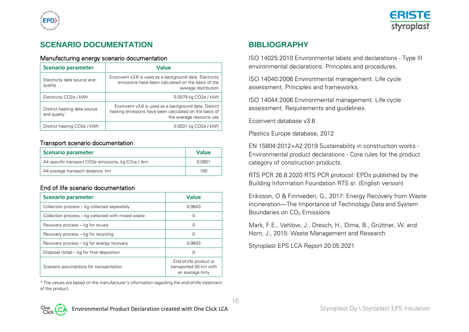



## **SCENARIO DOCUMENTATION**

#### Manufacturing energy scenario documentation

| <b>Scenario parameter</b>                   | <b>Value</b>                                                                                                                                |  |  |  |  |
|---------------------------------------------|---------------------------------------------------------------------------------------------------------------------------------------------|--|--|--|--|
| Electricity data source and<br>quality      | Ecoinvent v3.6 is used as a background data. Electricity<br>emissions have been calculated on the basis of the<br>average distribution      |  |  |  |  |
| Electricity CO <sub>2</sub> e / kWh         | 0.0579 kg CO2e / kWh                                                                                                                        |  |  |  |  |
| District heating data source<br>and quality | Ecoinvent v3.6 is used as a background data. District<br>heating emissions have been calculated on the basis of<br>the average resource use |  |  |  |  |
| District heating CO <sub>2</sub> e / kWh    | 0.0031 kg CO <sub>2</sub> e / kWh                                                                                                           |  |  |  |  |

#### Transport scenario documentation

| <b>Scenario parameter</b>                             | <b>Value</b> |
|-------------------------------------------------------|--------------|
| A4 specific transport CO2e emissions, kg $CO2e$ / tkm | 0.0901       |
| A4 average transport distance, km                     | 100          |

### End of life scenario documentation

| <b>Scenario parameter</b>                          | <b>Value</b>                                                         |
|----------------------------------------------------|----------------------------------------------------------------------|
| Collection process – kg collected separately       | 0.9843                                                               |
| Collection process – kg collected with mixed waste |                                                                      |
| Recovery process – kg for re-use                   |                                                                      |
| Recovery process – kg for recycling                |                                                                      |
| Recovery process – kg for energy recovery          | 0.9843                                                               |
| Disposal (total) – kg for final deposition         |                                                                      |
| Scenario assumptions for transportation            | End-of-life product is<br>transported 50 km with<br>an average lorry |

\* The values are based on the manufacturer's information regarding the end-of-life treatment of the product.

## **BIBLIOGRAPHY**

ISO 14025:2010 Environmental labels and declarations - Type III environmental declarations. Principles and procedures.

ISO 14040:2006 Environmental management. Life cycle assessment. Principles and frameworks.

ISO 14044:2006 Environmental management. Life cycle assessment. Requirements and guidelines.

Ecoinvent database v3.6

Plastics Europe database, 2012

EN 15804:2012+A2:2019 Sustainability in construction works - Environmental product declarations - Core rules for the product category of construction products.

RTS PCR 26.8.2020 RTS PCR protocol: EPDs published by the Building Information Foundation RTS sr. (English version)

Eriksson, O & Finnveden, G., 2017: Energy Recovery from Waste Incineration—The Importance of Technology Data and System Boundaries on CO<sub>2</sub> Emissions

Mark, F.E., Vehlow, J., Dresch, H., Dima, B., Grüttner, W. and Horn, J., 2015: Waste Management and Research

Styroplast EPS LCA Report 20.05.2021

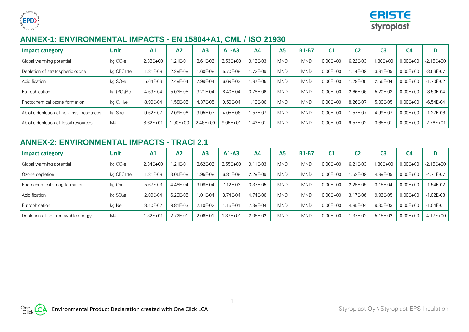



## **ANNEX-1: ENVIRONMENTAL IMPACTS - EN 15804+A1, CML / ISO 21930**

| <b>Impact category</b>                    | <b>Unit</b>          | A <sub>1</sub> | A <sub>2</sub> | A <sub>3</sub> | $A1-A3$      | A <sub>4</sub> | A5         | <b>B1-B7</b> | C <sub>1</sub> | C2       | C3           | C <sub>4</sub> | D             |
|-------------------------------------------|----------------------|----------------|----------------|----------------|--------------|----------------|------------|--------------|----------------|----------|--------------|----------------|---------------|
| Global warming potential                  | $kq$ $CO2e$          | $2.33E + 00$   | $.21E - 01$    | 8.61E-02       | $2.53E + 00$ | 9.13E-03       | <b>MND</b> | <b>MND</b>   | $0.00E + 00$   | 6.22E-03 | $1.80E + 00$ | $0.00E + 00$   | $-2.15E + 00$ |
| Depletion of stratospheric ozone          | kg CFC11e            | 1.81E-08       | 2.29E-08       | 1.60E-08       | 5.70E-08     | .72E-09        | <b>MND</b> | <b>MND</b>   | $0.00E + 00$   | 1.14E-09 | 3.81E-09     | $0.00E + 00$   | $-3.53E-07$   |
| Acidification                             | kg SO <sub>2</sub> e | 5.64E-03       | 2.49E-04       | 7.99E-04       | 6.69E-03     | .87E-05        | <b>MND</b> | <b>MND</b>   | $0.00E + 00$   | 1.28E-05 | 2.56E-04     | $0.00E + 00$   | $-1.70E - 02$ |
| Eutrophication                            | kg $(PO4)3$ e        | 4.69E-04       | 5.03E-05       | 3.21E-04       | 8.40E-04     | 3.78E-06       | <b>MND</b> | <b>MND</b>   | $0.00E + 00$   | 2.66E-06 | 5.20E-03     | $0.00E + 00$   | $-8.50E-04$   |
| Photochemical ozone formation             | $kq$ $C_2H_4e$       | 8.90E-04       | .58E-05        | 4.37E-05       | 9.50E-04     | .19E-06        | <b>MND</b> | <b>MND</b>   | $0.00E + 00$   | 8.26E-07 | 5.00E-05     | $0.00E + 00$   | $-6.54E-04$   |
| Abiotic depletion of non-fossil resources | kg Sbe               | 9.62E-07       | 2.09E-06       | 9.95E-07       | 4.05E-06     | .57E-07        | <b>MND</b> | <b>MND</b>   | $0.00E + 00$   | L57E-07  | 4.99E-07     | $0.00E + 00$   | $-1.27E-06$   |
| Abiotic depletion of fossil resources     | <b>MJ</b>            | $8.62E + 01$   | 1.90E+00       | $2.46E + 00$   | $9.05E + 01$ | .43E-01        | <b>MND</b> | <b>MND</b>   | $0.00E + 00$   | 9.57E-02 | 3.65E-01     | $0.00E + 00$   | $-2.76E + 01$ |

## **ANNEX-2: ENVIRONMENTAL IMPACTS - TRACI 2.1**

| <b>Impact category</b>            | Unit                 | A <sub>1</sub> | A <sub>2</sub> | A <sub>3</sub> | $A1-A3$      | A <sub>4</sub> | A <sub>5</sub> | <b>B1-B7</b> | C <sub>1</sub> | C2       | C3       | C <sub>4</sub> | D             |
|-----------------------------------|----------------------|----------------|----------------|----------------|--------------|----------------|----------------|--------------|----------------|----------|----------|----------------|---------------|
| Global warming potential          | kg CO <sub>2</sub> e | $2.34E + 00$   | $.21E - 01$    | 8.62E-02       | $2.55E + 00$ | 9.11E-03       | <b>MND</b>     | <b>MND</b>   | $0.00E + 00$   | 6.21E-03 | 1.80E+00 | $0.00E + 00$   | $-2.15E + 00$ |
| Ozone depletion                   | kg CFC11e            | 1.81E-08       | 3.05E-08       | 1.95E-08       | 6.81E-08     | 2.29E-09       | <b>MND</b>     | <b>MND</b>   | $0.00E + 00$   | .52E-09  | 4.89E-09 | $0.00E + 00$   | $-4.71E-07$   |
| Photochemical smog formation      | kg O <sub>3</sub> e  | 5.67E-03       | 4.48E-04       | 9.98E-04       | $12E-03$     | 3.37E-05       | <b>MND</b>     | <b>MND</b>   | $0.00E + 00$   | 2.25E-05 | 3.15E-04 | $0.00E + 00$   | $-1.54E-02$   |
| Acidification                     | kg SO <sub>2</sub> e | 2.09E-04       | 6.29E-05       | 1.01E-04       | 3.74E-04     | 4.74E-06       | <b>MND</b>     | <b>MND</b>   | $0.00E + 00$   | 3.17E-06 | 9.92E-05 | $0.00E + 00$   | $-1.02E-03$   |
| Eutrophication                    | kg Ne                | 8.40E-02       | 9.81E-03       | 2.10E-02       | $.15E-01$    | 7.39E-04       | <b>MND</b>     | <b>MND</b>   | $0.00E + 00$   | 4.85E-04 | 9.30E-03 | $0.00E + 00$   | $-1.04E - 01$ |
| Depletion of non-renewable energy | <b>MJ</b>            | $1.32E + 01$   | 2.72E-01       | 2.06E-01       | $.37E + 01$  | 2.05E-02       | <b>MND</b>     | <b>MND</b>   | $0.00E + 00$   | .37E-02  | 5.15E-02 | $0.00E + 00$   | $-4.17E + 00$ |

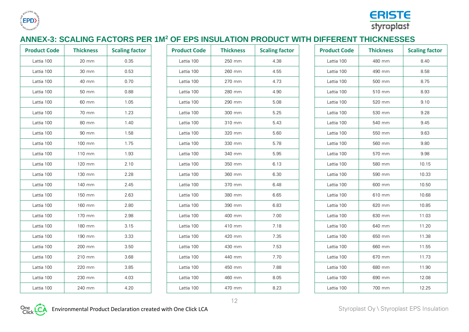



## **ANNEX-3: SCALING FACTORS PER 1M<sup>2</sup> OF EPS INSULATION PRODUCT WITH DIFFERENT THICKNESSES**

| <b>Product Code</b> | <b>Thickness</b> | <b>Scaling factor</b> | <b>Product Code</b> | <b>Thickness</b> | <b>Scaling factor</b> | <b>Product Code</b> | <b>Thickness</b> | <b>Scaling factor</b> |
|---------------------|------------------|-----------------------|---------------------|------------------|-----------------------|---------------------|------------------|-----------------------|
| Lattia 100          | 20 mm            | 0.35                  | Lattia 100          | 250 mm           | 4.38                  | Lattia 100          | 480 mm           | 8.40                  |
| Lattia 100          | 30 mm            | 0.53                  | Lattia 100          | 260 mm           | 4.55                  | Lattia 100          | 490 mm           | 8.58                  |
| Lattia 100          | 40 mm            | 0.70                  | Lattia 100          | 270 mm           | 4.73                  | Lattia 100          | 500 mm           | 8.75                  |
| Lattia 100          | 50 mm            | 0.88                  | Lattia 100          | 280 mm           | 4.90                  | Lattia 100          | 510 mm           | 8.93                  |
| Lattia 100          | 60 mm            | 1.05                  | Lattia 100          | 290 mm           | 5.08                  | Lattia 100          | 520 mm           | 9.10                  |
| Lattia 100          | 70 mm            | 1.23                  | Lattia 100          | 300 mm           | 5.25                  | Lattia 100          | 530 mm           | 9.28                  |
| Lattia 100          | 80 mm            | 1.40                  | Lattia 100          | 310 mm           | 5.43                  | Lattia 100          | 540 mm           | 9.45                  |
| Lattia 100          | 90 mm            | 1.58                  | Lattia 100          | 320 mm           | 5.60                  | Lattia 100          | 550 mm           | 9.63                  |
| Lattia 100          | 100 mm           | 1.75                  | Lattia 100          | 330 mm           | 5.78                  | Lattia 100          | 560 mm           | 9.80                  |
| Lattia 100          | 110 mm           | 1.93                  | Lattia 100          | 340 mm           | 5.95                  | Lattia 100          | 570 mm           | 9.98                  |
| Lattia 100          | 120 mm           | 2.10                  | Lattia 100          | 350 mm           | 6.13                  | Lattia 100          | 580 mm           | 10.15                 |
| Lattia 100          | 130 mm           | 2.28                  | Lattia 100          | 360 mm           | 6.30                  | Lattia 100          | 590 mm           | 10.33                 |
| Lattia 100          | 140 mm           | 2.45                  | Lattia 100          | 370 mm           | 6.48                  | Lattia 100          | 600 mm           | 10.50                 |
| Lattia 100          | 150 mm           | 2.63                  | Lattia 100          | 380 mm           | 6.65                  | Lattia 100          | 610 mm           | 10.68                 |
| Lattia 100          | 160 mm           | 2.80                  | Lattia 100          | 390 mm           | 6.83                  | Lattia 100          | 620 mm           | 10.85                 |
| Lattia 100          | 170 mm           | 2.98                  | Lattia 100          | 400 mm           | 7.00                  | Lattia 100          | 630 mm           | 11.03                 |
| Lattia 100          | 180 mm           | 3.15                  | Lattia 100          | 410 mm           | 7.18                  | Lattia 100          | 640 mm           | 11.20                 |
| Lattia 100          | 190 mm           | 3.33                  | Lattia 100          | 420 mm           | 7.35                  | Lattia 100          | 650 mm           | 11.38                 |
| Lattia 100          | 200 mm           | 3.50                  | Lattia 100          | 430 mm           | 7.53                  | Lattia 100          | 660 mm           | 11.55                 |
| Lattia 100          | 210 mm           | 3.68                  | Lattia 100          | 440 mm           | 7.70                  | Lattia 100          | 670 mm           | 11.73                 |
| Lattia 100          | 220 mm           | 3.85                  | Lattia 100          | 450 mm           | 7.88                  | Lattia 100          | 680 mm           | 11.90                 |
| Lattia 100          | 230 mm           | 4.03                  | Lattia 100          | 460 mm           | 8.05                  | Lattia 100          | 690 mm           | 12.08                 |
| Lattia 100          | 240 mm           | 4.20                  | Lattia 100          | 470 mm           | 8.23                  | Lattia 100          | 700 mm           | 12.25                 |
|                     |                  |                       |                     |                  |                       |                     |                  |                       |

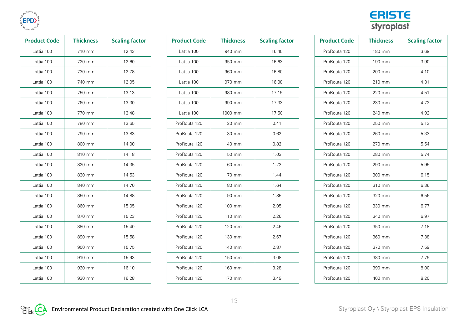

| <b>Product Code</b> | <b>Thickness</b> | <b>Scaling factor</b> |
|---------------------|------------------|-----------------------|
| Lattia 100          | 710 mm           | 12.43                 |
| Lattia 100          | 720 mm           | 12.60                 |
| Lattia 100          | 730 mm           | 12.78                 |
| Lattia 100          | 740 mm           | 12.95                 |
| Lattia 100          | 750 mm           | 13.13                 |
| Lattia 100          | 760 mm           | 13.30                 |
| Lattia 100          | 770 mm           | 13.48                 |
| Lattia 100          | 780 mm           | 13.65                 |
| Lattia 100          | 790 mm           | 13.83                 |
| Lattia 100          | 800 mm           | 14.00                 |
| Lattia 100          | 810 mm           | 14.18                 |
| Lattia 100          | 820 mm           | 14.35                 |
| Lattia 100          | 830 mm           | 14.53                 |
| Lattia 100          | 840 mm           | 14.70                 |
| Lattia 100          | 850 mm           | 14.88                 |
| Lattia 100          | 860 mm           | 15.05                 |
| Lattia 100          | 870 mm           | 15.23                 |
| Lattia 100          | 880 mm           | 15.40                 |
| Lattia 100          | 890 mm           | 15.58                 |
| Lattia 100          | 900 mm           | 15.75                 |
| Lattia 100          | 910 mm           | 15.93                 |
| Lattia 100          | 920 mm           | 16.10                 |
| Lattia 100          | 930 mm           | 16.28                 |

| <b>Product Code</b> | <b>Thickness</b> | <b>Scaling factor</b> | <b>Product Code</b> | <b>Thickness</b> | <b>Scaling factor</b> | <b>Product Code</b> | <b>Thickness</b> | <b>Scaling factor</b> |
|---------------------|------------------|-----------------------|---------------------|------------------|-----------------------|---------------------|------------------|-----------------------|
| Lattia 100          | 710 mm           | 12.43                 | Lattia 100          | 940 mm           | 16.45                 | ProRouta 120        | 180 mm           | 3.69                  |
| Lattia 100          | 720 mm           | 12.60                 | Lattia 100          | 950 mm           | 16.63                 | ProRouta 120        | 190 mm           | 3.90                  |
| Lattia 100          | 730 mm           | 12.78                 | Lattia 100          | 960 mm           | 16.80                 | ProRouta 120        | 200 mm           | 4.10                  |
| Lattia 100          | 740 mm           | 12.95                 | Lattia 100          | 970 mm           | 16.98                 | ProRouta 120        | 210 mm           | 4.31                  |
| Lattia 100          | 750 mm           | 13.13                 | Lattia 100          | 980 mm           | 17.15                 | ProRouta 120        | 220 mm           | 4.51                  |
| Lattia 100          | 760 mm           | 13.30                 | Lattia 100          | 990 mm           | 17.33                 | ProRouta 120        | 230 mm           | 4.72                  |
| Lattia 100          | 770 mm           | 13.48                 | Lattia 100          | 1000 mm          | 17.50                 | ProRouta 120        | 240 mm           | 4.92                  |
| Lattia 100          | 780 mm           | 13.65                 | ProRouta 120        | 20 mm            | 0.41                  | ProRouta 120        | 250 mm           | 5.13                  |
| Lattia 100          | 790 mm           | 13.83                 | ProRouta 120        | 30 mm            | 0.62                  | ProRouta 120        | 260 mm           | 5.33                  |
| Lattia 100          | 800 mm           | 14.00                 | ProRouta 120        | 40 mm            | 0.82                  | ProRouta 120        | 270 mm           | 5.54                  |
| Lattia 100          | 810 mm           | 14.18                 | ProRouta 120        | 50 mm            | 1.03                  | ProRouta 120        | 280 mm           | 5.74                  |
| Lattia 100          | 820 mm           | 14.35                 | ProRouta 120        | 60 mm            | 1.23                  | ProRouta 120        | 290 mm           | 5.95                  |
| Lattia 100          | 830 mm           | 14.53                 | ProRouta 120        | 70 mm            | 1.44                  | ProRouta 120        | 300 mm           | 6.15                  |
| Lattia 100          | 840 mm           | 14.70                 | ProRouta 120        | 80 mm            | 1.64                  | ProRouta 120        | 310 mm           | 6.36                  |
| Lattia 100          | 850 mm           | 14.88                 | ProRouta 120        | 90 mm            | 1.85                  | ProRouta 120        | 320 mm           | 6.56                  |
| Lattia 100          | 860 mm           | 15.05                 | ProRouta 120        | 100 mm           | 2.05                  | ProRouta 120        | 330 mm           | 6.77                  |
| Lattia 100          | 870 mm           | 15.23                 | ProRouta 120        | 110 mm           | 2.26                  | ProRouta 120        | 340 mm           | 6.97                  |
| Lattia 100          | 880 mm           | 15.40                 | ProRouta 120        | 120 mm           | 2.46                  | ProRouta 120        | 350 mm           | 7.18                  |
| Lattia 100          | 890 mm           | 15.58                 | ProRouta 120        | 130 mm           | 2.67                  | ProRouta 120        | 360 mm           | 7.38                  |
| Lattia 100          | 900 mm           | 15.75                 | ProRouta 120        | 140 mm           | 2.87                  | ProRouta 120        | 370 mm           | 7.59                  |
| Lattia 100          | 910 mm           | 15.93                 | ProRouta 120        | 150 mm           | 3.08                  | ProRouta 120        | 380 mm           | 7.79                  |
| Lattia 100          | 920 mm           | 16.10                 | ProRouta 120        | 160 mm           | 3.28                  | ProRouta 120        | 390 mm           | 8.00                  |
| Lattia 100          | 930 mm           | 16.28                 | ProRouta 120        | 170 mm           | 3.49                  | ProRouta 120        | 400 mm           | 8.20                  |



| <b>Product Code</b> | <b>Thickness</b> | <b>Scaling factor</b> |
|---------------------|------------------|-----------------------|
| ProRouta 120        | 180 mm           | 3.69                  |
| ProRouta 120        | 190 mm           | 3.90                  |
| ProRouta 120        | 200 mm           | 4.10                  |
| ProRouta 120        | 210 mm           | 4.31                  |
| ProRouta 120        | 220 mm           | 4.51                  |
| ProRouta 120        | 230 mm           | 4.72                  |
| ProRouta 120        | 240 mm           | 4.92                  |
| ProRouta 120        | 250 mm           | 5.13                  |
| ProRouta 120        | 260 mm           | 5.33                  |
| ProRouta 120        | 270 mm           | 5.54                  |
| ProRouta 120        | 280 mm           | 5.74                  |
| ProRouta 120        | 290 mm           | 5.95                  |
| ProRouta 120        | 300 mm           | 6.15                  |
| ProRouta 120        | 310 mm           | 6.36                  |
| ProRouta 120        | 320 mm           | 6.56                  |
| ProRouta 120        | 330 mm           | 6.77                  |
| ProRouta 120        | 340 mm           | 6.97                  |
| ProRouta 120        | 350 mm           | 7.18                  |
| ProRouta 120        | 360 mm           | 7.38                  |
| ProRouta 120        | 370 mm           | 7.59                  |
| ProRouta 120        | 380 mm           | 7.79                  |
| ProRouta 120        | 390 mm           | 8.00                  |
| ProRouta 120        | 400 mm           | 8.20                  |

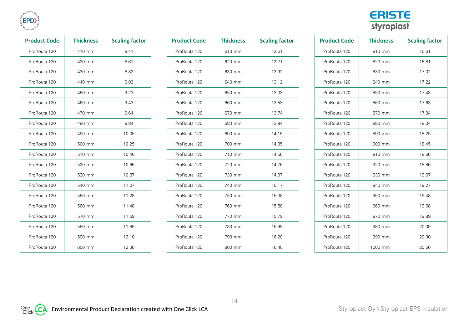

| <b>Product Code</b> | <b>Thickness</b> | <b>Scaling factor</b> |
|---------------------|------------------|-----------------------|
| ProRouta 120        | 410 mm           | 8.41                  |
| ProRouta 120        | 420 mm           | 8.61                  |
| ProRouta 120        | 430 mm           | 8.82                  |
| ProRouta 120        | 440 mm           | 9.02                  |
| ProRouta 120        | 450 mm           | 9.23                  |
| ProRouta 120        | 460 mm           | 9.43                  |
| ProRouta 120        | 470 mm           | 9.64                  |
| ProRouta 120        | 480 mm           | 9.84                  |
| ProRouta 120        | 490 mm           | 10.05                 |
| ProRouta 120        | 500 mm           | 10.25                 |
| ProRouta 120        | 510 mm           | 10.46                 |
| ProRouta 120        | 520 mm           | 10.66                 |
| ProRouta 120        | 530 mm           | 10.87                 |
| ProRouta 120        | 540 mm           | 11.07                 |
| ProRouta 120        | 550 mm           | 11.28                 |
| ProRouta 120        | 560 mm           | 11.48                 |
| ProRouta 120        | 570 mm           | 11.69                 |
| ProRouta 120        | 580 mm           | 11.89                 |
| ProRouta 120        | 590 mm           | 12.10                 |
| ProRouta 120        | 600 mm           | 12.30                 |

| <b>Product Code</b> | <b>Thickness</b> | <b>Scaling factor</b> | <b>Product Code</b> | <b>Thickness</b> | <b>Scaling factor</b> | <b>Product Code</b> | <b>Thickness</b> | <b>Scaling factor</b> |
|---------------------|------------------|-----------------------|---------------------|------------------|-----------------------|---------------------|------------------|-----------------------|
| ProRouta 120        | 410 mm           | 8.41                  | ProRouta 120        | 610 mm           | 12.51                 | ProRouta 120        | 810 mm           | 16.61                 |
| ProRouta 120        | 420 mm           | 8.61                  | ProRouta 120        | 620 mm           | 12.71                 | ProRouta 120        | 820 mm           | 16.81                 |
| ProRouta 120        | 430 mm           | 8.82                  | ProRouta 120        | 630 mm           | 12.92                 | ProRouta 120        | 830 mm           | 17.02                 |
| ProRouta 120        | 440 mm           | 9.02                  | ProRouta 120        | 640 mm           | 13.12                 | ProRouta 120        | 840 mm           | 17.22                 |
| ProRouta 120        | 450 mm           | 9.23                  | ProRouta 120        | 650 mm           | 13.33                 | ProRouta 120        | 850 mm           | 17.43                 |
| ProRouta 120        | 460 mm           | 9.43                  | ProRouta 120        | 660 mm           | 13.53                 | ProRouta 120        | 860 mm           | 17.63                 |
| ProRouta 120        | 470 mm           | 9.64                  | ProRouta 120        | 670 mm           | 13.74                 | ProRouta 120        | 870 mm           | 17.84                 |
| ProRouta 120        | 480 mm           | 9.84                  | ProRouta 120        | 680 mm           | 13.94                 | ProRouta 120        | 880 mm           | 18.04                 |
| ProRouta 120        | 490 mm           | 10.05                 | ProRouta 120        | 690 mm           | 14.15                 | ProRouta 120        | 890 mm           | 18.25                 |
| ProRouta 120        | 500 mm           | 10.25                 | ProRouta 120        | 700 mm           | 14.35                 | ProRouta 120        | 900 mm           | 18.45                 |
| ProRouta 120        | 510 mm           | 10.46                 | ProRouta 120        | 710 mm           | 14.56                 | ProRouta 120        | 910 mm           | 18.66                 |
| ProRouta 120        | 520 mm           | 10.66                 | ProRouta 120        | 720 mm           | 14.76                 | ProRouta 120        | 920 mm           | 18.86                 |
| ProRouta 120        | 530 mm           | 10.87                 | ProRouta 120        | 730 mm           | 14.97                 | ProRouta 120        | 930 mm           | 19.07                 |
| ProRouta 120        | 540 mm           | 11.07                 | ProRouta 120        | 740 mm           | 15.17                 | ProRouta 120        | 940 mm           | 19.27                 |
| ProRouta 120        | 550 mm           | 11.28                 | ProRouta 120        | 750 mm           | 15.38                 | ProRouta 120        | 950 mm           | 19.48                 |
| ProRouta 120        | 560 mm           | 11.48                 | ProRouta 120        | 760 mm           | 15.58                 | ProRouta 120        | 960 mm           | 19.68                 |
| ProRouta 120        | 570 mm           | 11.69                 | ProRouta 120        | 770 mm           | 15.79                 | ProRouta 120        | 970 mm           | 19.89                 |
| ProRouta 120        | 580 mm           | 11.89                 | ProRouta 120        | 780 mm           | 15.99                 | ProRouta 120        | 980 mm           | 20.09                 |
| ProRouta 120        | 590 mm           | 12.10                 | ProRouta 120        | 790 mm           | 16.20                 | ProRouta 120        | 990 mm           | 20.30                 |
| ProRouta 120        | 600 mm           | 12.30                 | ProRouta 120        | 800 mm           | 16.40                 | ProRouta 120        | 1000 mm          | 20.50                 |



| <b>Product Code</b> | <b>Thickness</b> | <b>Scaling factor</b> |  |  |  |
|---------------------|------------------|-----------------------|--|--|--|
| ProRouta 120        | 810 mm           | 16.61                 |  |  |  |
| ProRouta 120        | 820 mm           | 16.81                 |  |  |  |
| ProRouta 120        | 830 mm           | 17.02                 |  |  |  |
| ProRouta 120        | 840 mm           | 17.22                 |  |  |  |
| ProRouta 120        | 850 mm           | 17.43                 |  |  |  |
| ProRouta 120        | 860 mm           | 17.63                 |  |  |  |
| ProRouta 120        | 870 mm           | 17.84                 |  |  |  |
| ProRouta 120        | 880 mm           | 18.04                 |  |  |  |
| ProRouta 120        | 890 mm           | 18.25                 |  |  |  |
| ProRouta 120        | 900 mm           | 18.45                 |  |  |  |
| ProRouta 120        | 910 mm           | 18.66                 |  |  |  |
| ProRouta 120        | 920 mm           | 18.86                 |  |  |  |
| ProRouta 120        | 930 mm           | 19.07                 |  |  |  |
| ProRouta 120        | 940 mm           | 19.27                 |  |  |  |
| ProRouta 120        | 950 mm           | 19.48                 |  |  |  |
| ProRouta 120        | 960 mm           | 19.68                 |  |  |  |
| ProRouta 120        | 970 mm           | 19.89                 |  |  |  |
| ProRouta 120        | 980 mm           | 20.09                 |  |  |  |
| ProRouta 120        | 990 mm           | 20.30                 |  |  |  |
| ProRouta 120        | 1000 mm          | 20.50                 |  |  |  |